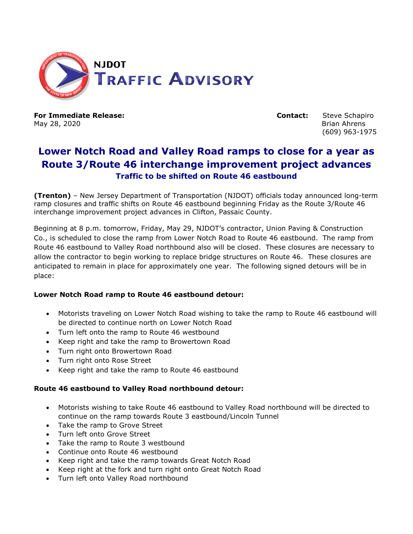

May 28, 2020 Brian Ahrens

**For Immediate Release: Contact:** Steve Schapiro (609) 963-1975

## **Lower Notch Road and Valley Road ramps to close for a year as Route 3/Route 46 interchange improvement project advances Traffic to be shifted on Route 46 eastbound**

**(Trenton)** – New Jersey Department of Transportation (NJDOT) officials today announced long-term ramp closures and traffic shifts on Route 46 eastbound beginning Friday as the Route 3/Route 46 interchange improvement project advances in Clifton, Passaic County.

Beginning at 8 p.m. tomorrow, Friday, May 29, NJDOT's contractor, Union Paving & Construction Co., is scheduled to close the ramp from Lower Notch Road to Route 46 eastbound. The ramp from Route 46 eastbound to Valley Road northbound also will be closed. These closures are necessary to allow the contractor to begin working to replace bridge structures on Route 46. These closures are anticipated to remain in place for approximately one year. The following signed detours will be in place:

## **Lower Notch Road ramp to Route 46 eastbound detour:**

- Motorists traveling on Lower Notch Road wishing to take the ramp to Route 46 eastbound will be directed to continue north on Lower Notch Road
- Turn left onto the ramp to Route 46 westbound
- Keep right and take the ramp to Browertown Road
- Turn right onto Browertown Road
- Turn right onto Rose Street
- Keep right and take the ramp to Route 46 eastbound

## **Route 46 eastbound to Valley Road northbound detour:**

- Motorists wishing to take Route 46 eastbound to Valley Road northbound will be directed to continue on the ramp towards Route 3 eastbound/Lincoln Tunnel
- Take the ramp to Grove Street
- Turn left onto Grove Street
- Take the ramp to Route 3 westbound
- Continue onto Route 46 westbound
- Keep right and take the ramp towards Great Notch Road
- Keep right at the fork and turn right onto Great Notch Road
- Turn left onto Valley Road northbound